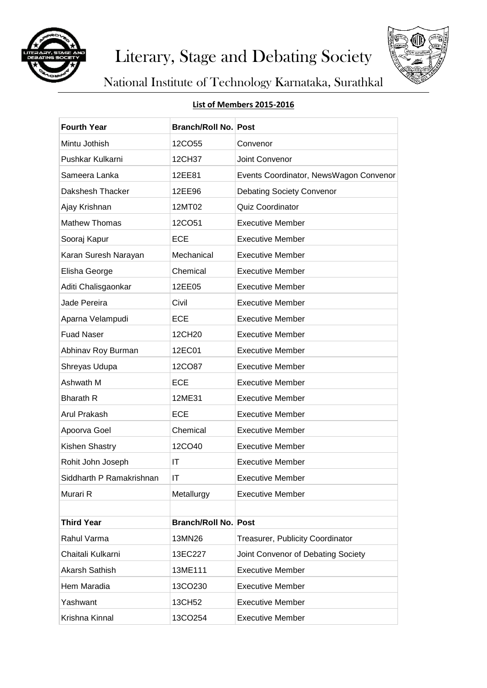



National Institute of Technology Karnataka, Surathkal

## **List of Members 2015-2016**

| <b>Fourth Year</b>       | <b>Branch/Roll No. Post</b> |                                        |
|--------------------------|-----------------------------|----------------------------------------|
| Mintu Jothish            | 12CO55                      | Convenor                               |
| Pushkar Kulkarni         | 12CH37                      | Joint Convenor                         |
| Sameera Lanka            | 12EE81                      | Events Coordinator, NewsWagon Convenor |
| Dakshesh Thacker         | 12EE96                      | <b>Debating Society Convenor</b>       |
| Ajay Krishnan            | 12MT02                      | Quiz Coordinator                       |
| <b>Mathew Thomas</b>     | 12CO51                      | <b>Executive Member</b>                |
| Sooraj Kapur             | <b>ECE</b>                  | <b>Executive Member</b>                |
| Karan Suresh Narayan     | Mechanical                  | <b>Executive Member</b>                |
| Elisha George            | Chemical                    | <b>Executive Member</b>                |
| Aditi Chalisgaonkar      | 12EE05                      | <b>Executive Member</b>                |
| Jade Pereira             | Civil                       | <b>Executive Member</b>                |
| Aparna Velampudi         | <b>ECE</b>                  | <b>Executive Member</b>                |
| <b>Fuad Naser</b>        | 12CH20                      | <b>Executive Member</b>                |
| Abhinav Roy Burman       | 12EC01                      | <b>Executive Member</b>                |
| Shreyas Udupa            | 12CO87                      | <b>Executive Member</b>                |
| Ashwath M                | <b>ECE</b>                  | <b>Executive Member</b>                |
| <b>Bharath R</b>         | 12ME31                      | <b>Executive Member</b>                |
| Arul Prakash             | <b>ECE</b>                  | <b>Executive Member</b>                |
| Apoorva Goel             | Chemical                    | <b>Executive Member</b>                |
| Kishen Shastry           | 12CO40                      | <b>Executive Member</b>                |
| Rohit John Joseph        | IT                          | <b>Executive Member</b>                |
| Siddharth P Ramakrishnan | IT                          | <b>Executive Member</b>                |
| Murari R                 | Metallurgy                  | <b>Executive Member</b>                |
|                          |                             |                                        |
| <b>Third Year</b>        | <b>Branch/Roll No. Post</b> |                                        |
| Rahul Varma              | 13MN26                      | Treasurer, Publicity Coordinator       |
| Chaitali Kulkarni        | 13EC227                     | Joint Convenor of Debating Society     |
| Akarsh Sathish           | 13ME111                     | <b>Executive Member</b>                |
| Hem Maradia              | 13CO230                     | <b>Executive Member</b>                |
| Yashwant                 | 13CH52                      | <b>Executive Member</b>                |
| Krishna Kinnal           | 13CO254                     | <b>Executive Member</b>                |